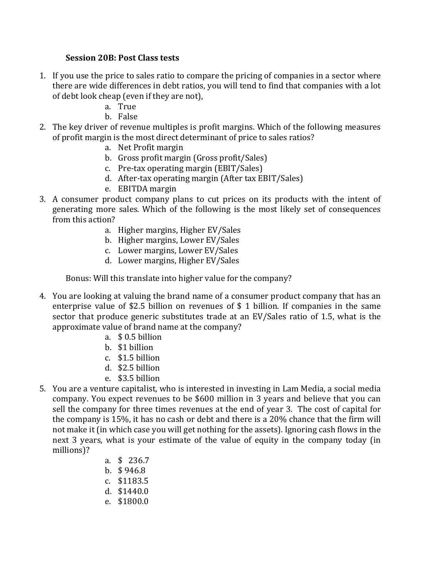## **Session 20B**: Post Class tests

- 1. If you use the price to sales ratio to compare the pricing of companies in a sector where there are wide differences in debt ratios, you will tend to find that companies with a lot of debt look cheap (even if they are not),
	- a. True
	- b. False
- 2. The key driver of revenue multiples is profit margins. Which of the following measures of profit margin is the most direct determinant of price to sales ratios?
	- a. Net Profit margin
	- b. Gross profit margin (Gross profit/Sales)
	- c. Pre-tax operating margin (EBIT/Sales)
	- d. After-tax operating margin (After tax EBIT/Sales)
	- e. EBITDA margin
- 3. A consumer product company plans to cut prices on its products with the intent of generating more sales. Which of the following is the most likely set of consequences from this action?
	- a. Higher margins, Higher EV/Sales
	- b. Higher margins, Lower EV/Sales
	- c. Lower margins, Lower EV/Sales
	- d. Lower margins, Higher EV/Sales

Bonus: Will this translate into higher value for the company?

- 4. You are looking at valuing the brand name of a consumer product company that has an enterprise value of \$2.5 billion on revenues of \$ 1 billion. If companies in the same sector that produce generic substitutes trade at an EV/Sales ratio of 1.5, what is the approximate value of brand name at the company?
	- a. \$ 0.5 billion
	- b. \$1 billion
	- c. \$1.5 billion
	- d. \$2.5 billion
	- e. \$3.5 billion
- 5. You are a venture capitalist, who is interested in investing in Lam Media, a social media company. You expect revenues to be \$600 million in 3 years and believe that you can sell the company for three times revenues at the end of year 3. The cost of capital for the company is  $15\%$ , it has no cash or debt and there is a  $20\%$  chance that the firm will not make it (in which case you will get nothing for the assets). Ignoring cash flows in the next 3 years, what is your estimate of the value of equity in the company today (in millions)?
	- a. \$ 236.7
	- b.  $$946.8$
	- c. \$1183.5
	- d. \$1440.0
	- e. \$1800.0